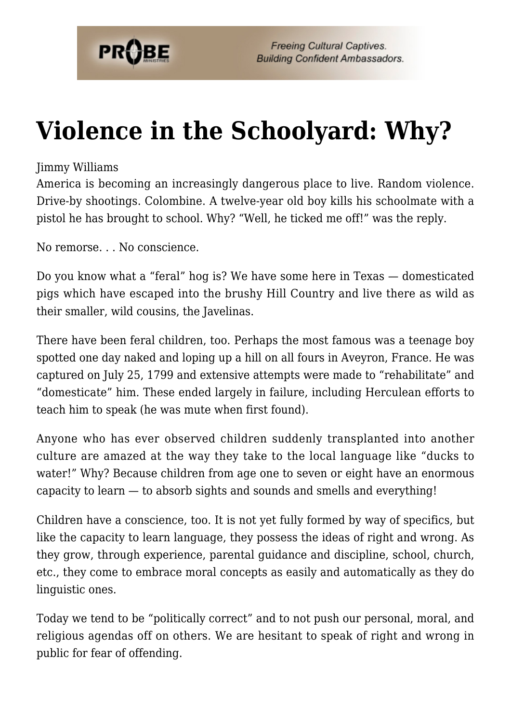

## **[Violence in the Schoolyard: Why?](https://probe.org/violence-in-the-schoolyard-why/)**

## Jimmy Williams

America is becoming an increasingly dangerous place to live. Random violence. Drive-by shootings. Colombine. A twelve-year old boy kills his schoolmate with a pistol he has brought to school. Why? "Well, he ticked me off!" was the reply.

No remorse. . . No conscience.

Do you know what a "feral" hog is? We have some here in Texas — domesticated pigs which have escaped into the brushy Hill Country and live there as wild as their smaller, wild cousins, the Javelinas.

There have been feral children, too. Perhaps the most famous was a teenage boy spotted one day naked and loping up a hill on all fours in Aveyron, France. He was captured on July 25, 1799 and extensive attempts were made to "rehabilitate" and "domesticate" him. These ended largely in failure, including Herculean efforts to teach him to speak (he was mute when first found).

Anyone who has ever observed children suddenly transplanted into another culture are amazed at the way they take to the local language like "ducks to water!" Why? Because children from age one to seven or eight have an enormous capacity to learn — to absorb sights and sounds and smells and everything!

Children have a conscience, too. It is not yet fully formed by way of specifics, but like the capacity to learn language, they possess the ideas of right and wrong. As they grow, through experience, parental guidance and discipline, school, church, etc., they come to embrace moral concepts as easily and automatically as they do linguistic ones.

Today we tend to be "politically correct" and to not push our personal, moral, and religious agendas off on others. We are hesitant to speak of right and wrong in public for fear of offending.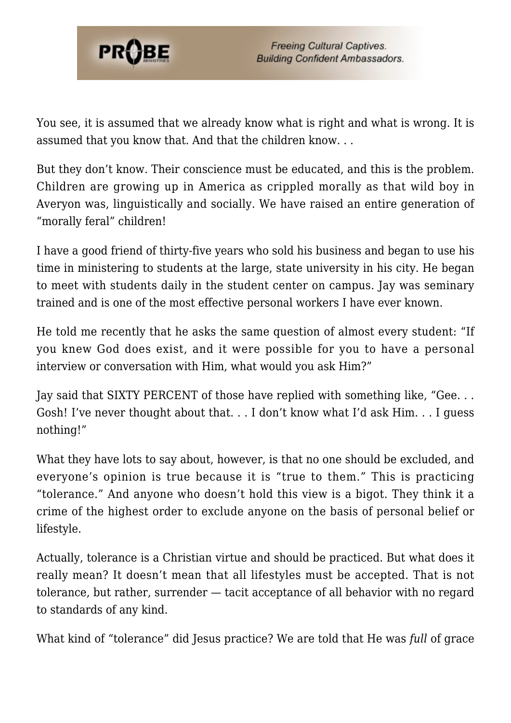

You see, it is assumed that we already know what is right and what is wrong. It is assumed that you know that. And that the children know. . .

But they don't know. Their conscience must be educated, and this is the problem. Children are growing up in America as crippled morally as that wild boy in Averyon was, linguistically and socially. We have raised an entire generation of "morally feral" children!

I have a good friend of thirty-five years who sold his business and began to use his time in ministering to students at the large, state university in his city. He began to meet with students daily in the student center on campus. Jay was seminary trained and is one of the most effective personal workers I have ever known.

He told me recently that he asks the same question of almost every student: "If you knew God does exist, and it were possible for you to have a personal interview or conversation with Him, what would you ask Him?"

Jay said that SIXTY PERCENT of those have replied with something like, "Gee. . . Gosh! I've never thought about that. . . I don't know what I'd ask Him. . . I guess nothing!"

What they have lots to say about, however, is that no one should be excluded, and everyone's opinion is true because it is "true to them." This is practicing "tolerance." And anyone who doesn't hold this view is a bigot. They think it a crime of the highest order to exclude anyone on the basis of personal belief or lifestyle.

Actually, tolerance is a Christian virtue and should be practiced. But what does it really mean? It doesn't mean that all lifestyles must be accepted. That is not tolerance, but rather, surrender — tacit acceptance of all behavior with no regard to standards of any kind.

What kind of "tolerance" did Jesus practice? We are told that He was *full* of grace